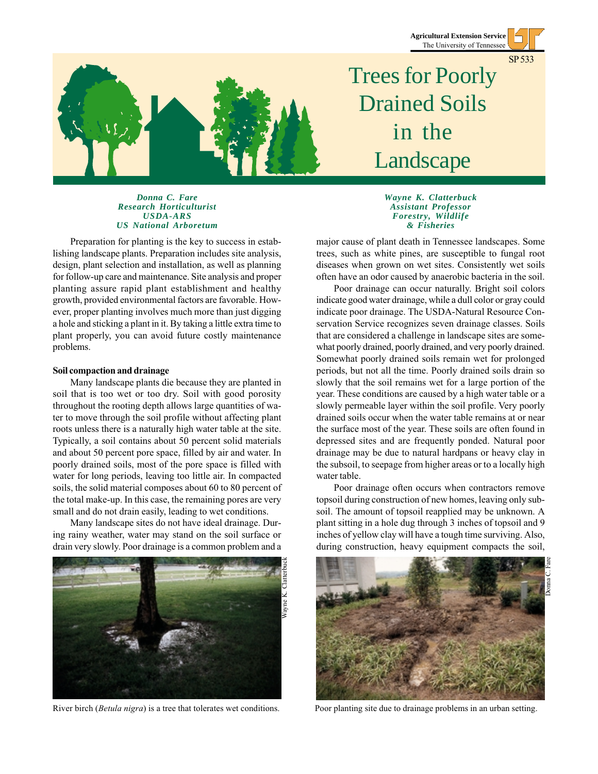**Agricultural Extension Service** The University of Tennessee

SP 533



## Trees for Poorly Drained Soils in the Landscape

## *Donna C. Fare Research Horticulturist USDA-ARS US National Arboretum*

Preparation for planting is the key to success in establishing landscape plants. Preparation includes site analysis, design, plant selection and installation, as well as planning for follow-up care and maintenance. Site analysis and proper planting assure rapid plant establishment and healthy growth, provided environmental factors are favorable. However, proper planting involves much more than just digging a hole and sticking a plant in it. By taking a little extra time to plant properly, you can avoid future costly maintenance problems.

## **Soil compaction and drainage**

Many landscape plants die because they are planted in soil that is too wet or too dry. Soil with good porosity throughout the rooting depth allows large quantities of water to move through the soil profile without affecting plant roots unless there is a naturally high water table at the site. Typically, a soil contains about 50 percent solid materials and about 50 percent pore space, filled by air and water. In poorly drained soils, most of the pore space is filled with water for long periods, leaving too little air. In compacted soils, the solid material composes about 60 to 80 percent of the total make-up. In this case, the remaining pores are very small and do not drain easily, leading to wet conditions.

Many landscape sites do not have ideal drainage. During rainy weather, water may stand on the soil surface or drain very slowly. Poor drainage is a common problem and a



*Wayne K. Clatterbuck Assistant Professor Forestry, Wildlife & Fisheries*

major cause of plant death in Tennessee landscapes. Some trees, such as white pines, are susceptible to fungal root diseases when grown on wet sites. Consistently wet soils often have an odor caused by anaerobic bacteria in the soil.

Poor drainage can occur naturally. Bright soil colors indicate good water drainage, while a dull color or gray could indicate poor drainage. The USDA-Natural Resource Conservation Service recognizes seven drainage classes. Soils that are considered a challenge in landscape sites are somewhat poorly drained, poorly drained, and very poorly drained. Somewhat poorly drained soils remain wet for prolonged periods, but not all the time. Poorly drained soils drain so slowly that the soil remains wet for a large portion of the year. These conditions are caused by a high water table or a slowly permeable layer within the soil profile. Very poorly drained soils occur when the water table remains at or near the surface most of the year. These soils are often found in depressed sites and are frequently ponded. Natural poor drainage may be due to natural hardpans or heavy clay in the subsoil, to seepage from higher areas or to a locally high water table.

Poor drainage often occurs when contractors remove topsoil during construction of new homes, leaving only subsoil. The amount of topsoil reapplied may be unknown. A plant sitting in a hole dug through 3 inches of topsoil and 9 inches of yellow clay will have a tough time surviving. Also, during construction, heavy equipment compacts the soil,

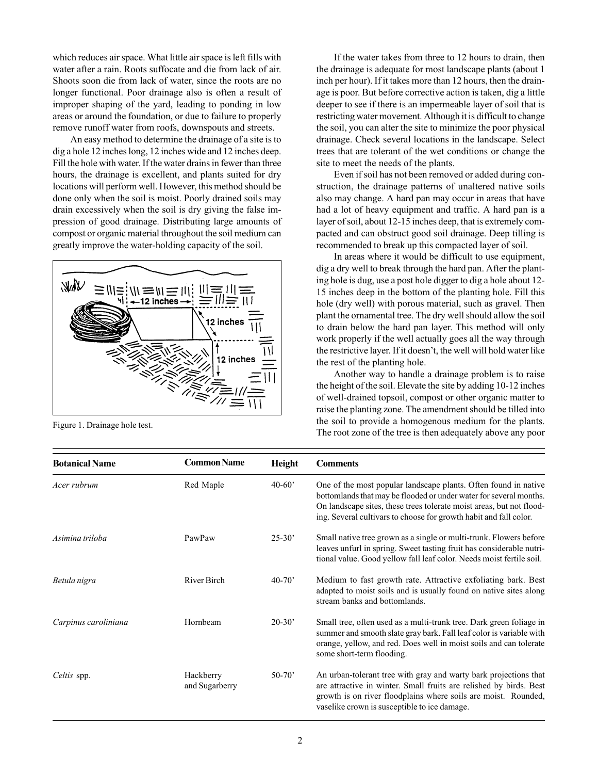which reduces air space. What little air space is left fills with water after a rain. Roots suffocate and die from lack of air. Shoots soon die from lack of water, since the roots are no longer functional. Poor drainage also is often a result of improper shaping of the yard, leading to ponding in low areas or around the foundation, or due to failure to properly remove runoff water from roofs, downspouts and streets.

An easy method to determine the drainage of a site is to dig a hole 12 inches long, 12 inches wide and 12 inches deep. Fill the hole with water. If the water drains in fewer than three hours, the drainage is excellent, and plants suited for dry locations will perform well. However, this method should be done only when the soil is moist. Poorly drained soils may drain excessively when the soil is dry giving the false impression of good drainage. Distributing large amounts of compost or organic material throughout the soil medium can greatly improve the water-holding capacity of the soil.



Figure 1. Drainage hole test.

If the water takes from three to 12 hours to drain, then the drainage is adequate for most landscape plants (about 1 inch per hour). If it takes more than 12 hours, then the drainage is poor. But before corrective action is taken, dig a little deeper to see if there is an impermeable layer of soil that is restricting water movement. Although it is difficult to change the soil, you can alter the site to minimize the poor physical drainage. Check several locations in the landscape. Select trees that are tolerant of the wet conditions or change the site to meet the needs of the plants.

Even if soil has not been removed or added during construction, the drainage patterns of unaltered native soils also may change. A hard pan may occur in areas that have had a lot of heavy equipment and traffic. A hard pan is a layer of soil, about 12-15 inches deep, that is extremely compacted and can obstruct good soil drainage. Deep tilling is recommended to break up this compacted layer of soil.

In areas where it would be difficult to use equipment, dig a dry well to break through the hard pan. After the planting hole is dug, use a post hole digger to dig a hole about 12- 15 inches deep in the bottom of the planting hole. Fill this hole (dry well) with porous material, such as gravel. Then plant the ornamental tree. The dry well should allow the soil to drain below the hard pan layer. This method will only work properly if the well actually goes all the way through the restrictive layer. If it doesn't, the well will hold water like the rest of the planting hole.

Another way to handle a drainage problem is to raise the height of the soil. Elevate the site by adding 10-12 inches of well-drained topsoil, compost or other organic matter to raise the planting zone. The amendment should be tilled into the soil to provide a homogenous medium for the plants. The root zone of the tree is then adequately above any poor

| <b>Botanical Name</b> | <b>Common Name</b>          | Height     | <b>Comments</b>                                                                                                                                                                                                                                                                    |
|-----------------------|-----------------------------|------------|------------------------------------------------------------------------------------------------------------------------------------------------------------------------------------------------------------------------------------------------------------------------------------|
| Acer rubrum           | Red Maple                   | $40 - 60'$ | One of the most popular landscape plants. Often found in native<br>bottomlands that may be flooded or under water for several months.<br>On landscape sites, these trees tolerate moist areas, but not flood-<br>ing. Several cultivars to choose for growth habit and fall color. |
| Asimina triloba       | PawPaw                      | $25 - 30'$ | Small native tree grown as a single or multi-trunk. Flowers before<br>leaves unfurl in spring. Sweet tasting fruit has considerable nutri-<br>tional value. Good yellow fall leaf color. Needs moist fertile soil.                                                                 |
| Betula nigra          | River Birch                 | $40 - 70'$ | Medium to fast growth rate. Attractive exfoliating bark. Best<br>adapted to moist soils and is usually found on native sites along<br>stream banks and bottomlands.                                                                                                                |
| Carpinus caroliniana  | Hornbeam                    | $20-30'$   | Small tree, often used as a multi-trunk tree. Dark green foliage in<br>summer and smooth slate gray bark. Fall leaf color is variable with<br>orange, yellow, and red. Does well in moist soils and can tolerate<br>some short-term flooding.                                      |
| Celtis spp.           | Hackberry<br>and Sugarberry | $50-70'$   | An urban-tolerant tree with gray and warty bark projections that<br>are attractive in winter. Small fruits are relished by birds. Best<br>growth is on river floodplains where soils are moist. Rounded,<br>vaselike crown is susceptible to ice damage.                           |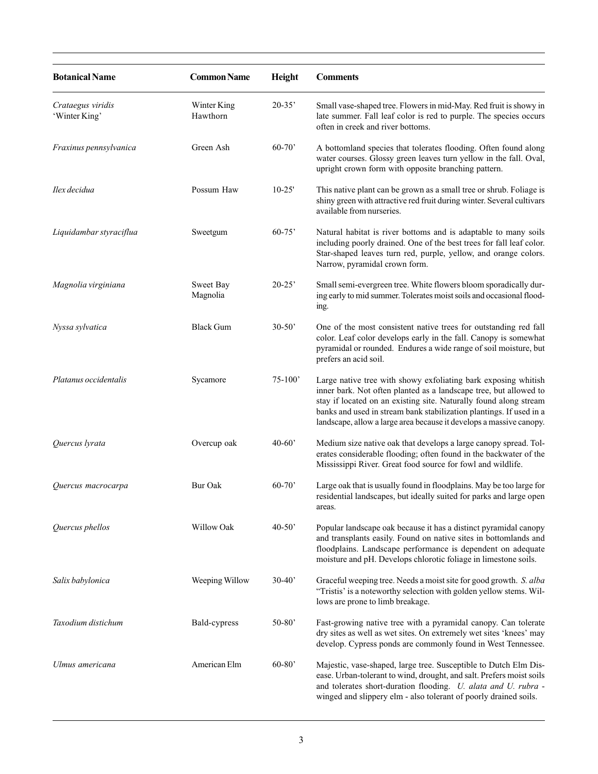| <b>Botanical Name</b>              | <b>Common Name</b>      | Height     | <b>Comments</b>                                                                                                                                                                                                                                                                                                                                        |
|------------------------------------|-------------------------|------------|--------------------------------------------------------------------------------------------------------------------------------------------------------------------------------------------------------------------------------------------------------------------------------------------------------------------------------------------------------|
| Crataegus viridis<br>'Winter King' | Winter King<br>Hawthorn | $20-35'$   | Small vase-shaped tree. Flowers in mid-May. Red fruit is showy in<br>late summer. Fall leaf color is red to purple. The species occurs<br>often in creek and river bottoms.                                                                                                                                                                            |
| Fraxinus pennsylvanica             | Green Ash               | $60 - 70'$ | A bottomland species that tolerates flooding. Often found along<br>water courses. Glossy green leaves turn yellow in the fall. Oval,<br>upright crown form with opposite branching pattern.                                                                                                                                                            |
| Ilex decidua                       | Possum Haw              | $10-25'$   | This native plant can be grown as a small tree or shrub. Foliage is<br>shiny green with attractive red fruit during winter. Several cultivars<br>available from nurseries.                                                                                                                                                                             |
| Liquidambar styraciflua            | Sweetgum                | $60 - 75$  | Natural habitat is river bottoms and is adaptable to many soils<br>including poorly drained. One of the best trees for fall leaf color.<br>Star-shaped leaves turn red, purple, yellow, and orange colors.<br>Narrow, pyramidal crown form.                                                                                                            |
| Magnolia virginiana                | Sweet Bay<br>Magnolia   | $20 - 25'$ | Small semi-evergreen tree. White flowers bloom sporadically dur-<br>ing early to mid summer. Tolerates moist soils and occasional flood-<br>ing.                                                                                                                                                                                                       |
| Nyssa sylvatica                    | <b>Black Gum</b>        | $30-50'$   | One of the most consistent native trees for outstanding red fall<br>color. Leaf color develops early in the fall. Canopy is somewhat<br>pyramidal or rounded. Endures a wide range of soil moisture, but<br>prefers an acid soil.                                                                                                                      |
| Platanus occidentalis              | Sycamore                | $75-100'$  | Large native tree with showy exfoliating bark exposing whitish<br>inner bark. Not often planted as a landscape tree, but allowed to<br>stay if located on an existing site. Naturally found along stream<br>banks and used in stream bank stabilization plantings. If used in a<br>landscape, allow a large area because it develops a massive canopy. |
| Quercus lyrata                     | Overcup oak             | $40 - 60'$ | Medium size native oak that develops a large canopy spread. Tol-<br>erates considerable flooding; often found in the backwater of the<br>Mississippi River. Great food source for fowl and wildlife.                                                                                                                                                   |
| Quercus macrocarpa                 | <b>Bur Oak</b>          | $60 - 70$  | Large oak that is usually found in floodplains. May be too large for<br>residential landscapes, but ideally suited for parks and large open<br>areas.                                                                                                                                                                                                  |
| Quercus phellos                    | Willow Oak              | $40 - 50'$ | Popular landscape oak because it has a distinct pyramidal canopy<br>and transplants easily. Found on native sites in bottomlands and<br>floodplains. Landscape performance is dependent on adequate<br>moisture and pH. Develops chlorotic foliage in limestone soils.                                                                                 |
| Salix babylonica                   | Weeping Willow          | $30 - 40'$ | Graceful weeping tree. Needs a moist site for good growth. S. alba<br>"Tristis' is a noteworthy selection with golden yellow stems. Wil-<br>lows are prone to limb breakage.                                                                                                                                                                           |
| Taxodium distichum                 | Bald-cypress            | $50-80'$   | Fast-growing native tree with a pyramidal canopy. Can tolerate<br>dry sites as well as wet sites. On extremely wet sites 'knees' may<br>develop. Cypress ponds are commonly found in West Tennessee.                                                                                                                                                   |
| Ulmus americana                    | American Elm            | $60 - 80'$ | Majestic, vase-shaped, large tree. Susceptible to Dutch Elm Dis-<br>ease. Urban-tolerant to wind, drought, and salt. Prefers moist soils<br>and tolerates short-duration flooding. U. alata and U. rubra -<br>winged and slippery elm - also tolerant of poorly drained soils.                                                                         |